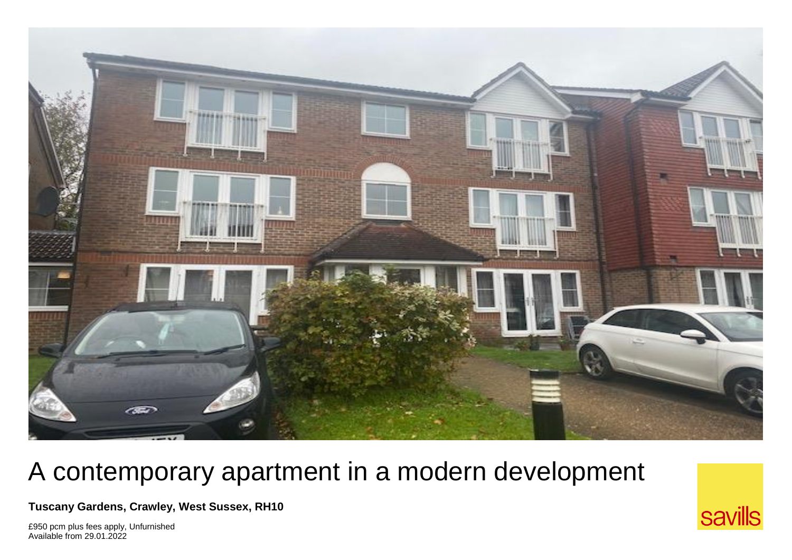

## A contemporary apartment in a modern development

**Tuscany Gardens, Crawley, West Sussex, RH10** 

£950 pcm plus fees apply, Unfurnished Available from 29.01.2022

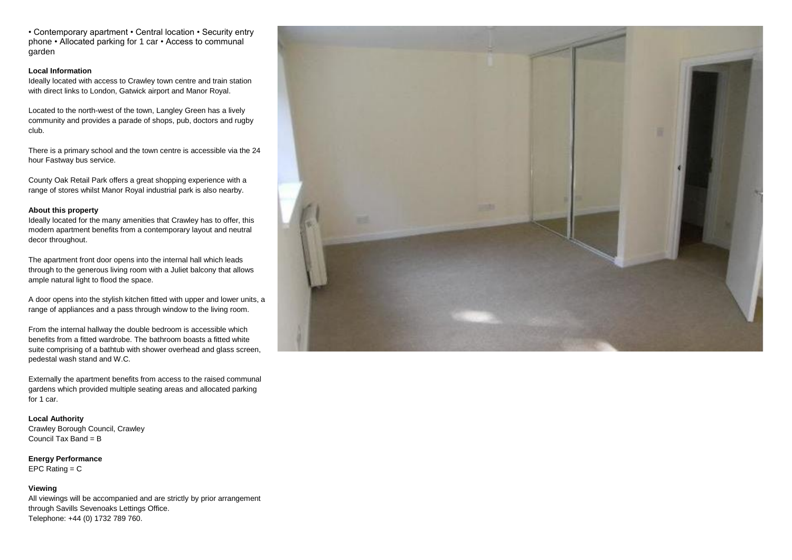• Contemporary apartment • Central location • Security entry phone • Allocated parking for 1 car • Access to communal garden

## **Local Information**

Ideally located with access to Crawley town centre and train station with direct links to London, Gatwick airport and Manor Royal.

Located to the north-west of the town, Langley Green has a lively community and provides a parade of shops, pub, doctors and rugby club.

There is a primary school and the town centre is accessible via the 24 hour Fastway bus service.

County Oak Retail Park offers a great shopping experience with a range of stores whilst Manor Royal industrial park is also nearby.

## **About this property**

Ideally located for the many amenities that Crawley has to offer, this modern apartment benefits from a contemporary layout and neutral decor throughout.

The apartment front door opens into the internal hall which leads through to the generous living room with a Juliet balcony that allows ample natural light to flood the space.

A door opens into the stylish kitchen fitted with upper and lower units, a range of appliances and a pass through window to the living room.

From the internal hallway the double bedroom is accessible which benefits from a fitted wardrobe. The bathroom boasts a fitted white suite comprising of a bathtub with shower overhead and glass screen, pedestal wash stand and W.C.

Externally the apartment benefits from access to the raised communal gardens which provided multiple seating areas and allocated parking for 1 car.

**Local Authority** Crawley Borough Council, Crawley Council Tax Band =  $B$ 

**Energy Performance** EPC Rating  $= C$ 

## **Viewing**

All viewings will be accompanied and are strictly by prior arrangement through Savills Sevenoaks Lettings Office. Telephone: +44 (0) 1732 789 760.